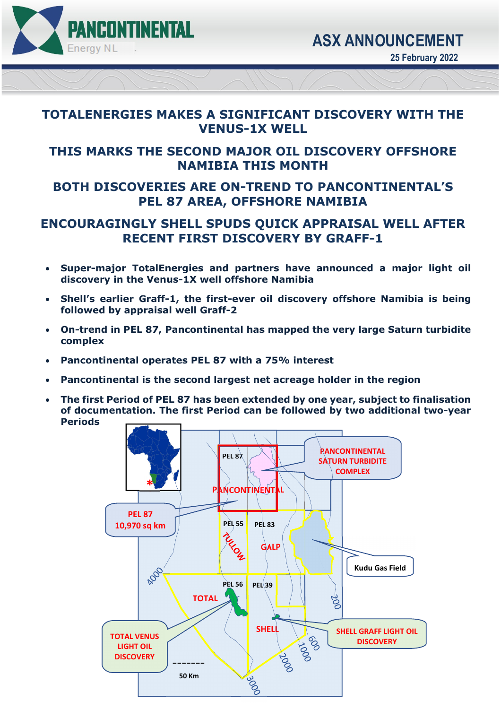

#### **TOTALENERGIES MAKES A SIGNIFICANT DISCOVERY WITH THE VENUS-1X WELL**

## **THIS MARKS THE SECOND MAJOR OIL DISCOVERY OFFSHORE NAMIBIA THIS MONTH**

# **BOTH DISCOVERIES ARE ON-TREND TO PANCONTINENTAL'S PEL 87 AREA, OFFSHORE NAMIBIA**

### **ENCOURAGINGLY SHELL SPUDS QUICK APPRAISAL WELL AFTER RECENT FIRST DISCOVERY BY GRAFF-1**

- **Super-major TotalEnergies and partners have announced a major light oil discovery in the Venus-1X well offshore Namibia**
- **Shell's earlier Graff-1, the first-ever oil discovery offshore Namibia is being followed by appraisal well Graff-2**
- **On-trend in PEL 87, Pancontinental has mapped the very large Saturn turbidite complex**
- **Pancontinental operates PEL 87 with a 75% interest**
- **Pancontinental is the second largest net acreage holder in the region**
- **The first Period of PEL 87 has been extended by one year, subject to finalisation of documentation. The first Period can be followed by two additional two-year Periods**

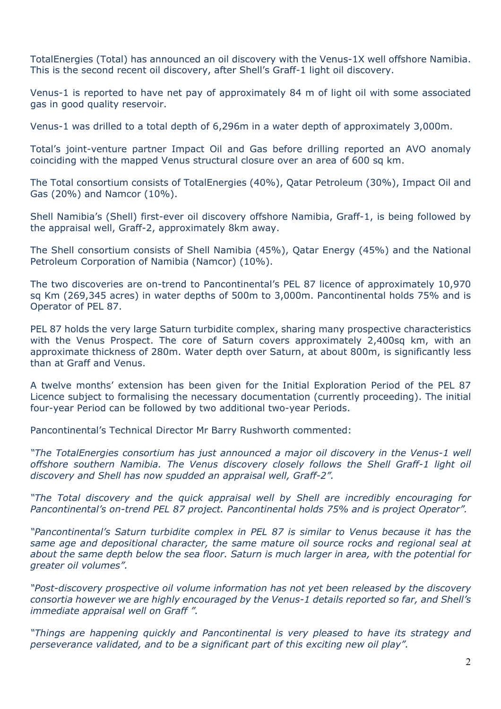TotalEnergies (Total) has announced an oil discovery with the Venus-1X well offshore Namibia. This is the second recent oil discovery, after Shell's Graff-1 light oil discovery.

Venus-1 is reported to have net pay of approximately 84 m of light oil with some associated gas in good quality reservoir.

Venus-1 was drilled to a total depth of 6,296m in a water depth of approximately 3,000m.

Total's joint-venture partner Impact Oil and Gas before drilling reported an AVO anomaly coinciding with the mapped Venus structural closure over an area of 600 sq km.

The Total consortium consists of TotalEnergies (40%), Qatar Petroleum (30%), Impact Oil and Gas (20%) and Namcor (10%).

Shell Namibia's (Shell) first-ever oil discovery offshore Namibia, Graff-1, is being followed by the appraisal well, Graff-2, approximately 8km away.

The Shell consortium consists of Shell Namibia (45%), Qatar Energy (45%) and the National Petroleum Corporation of Namibia (Namcor) (10%).

The two discoveries are on-trend to Pancontinental's PEL 87 licence of approximately 10,970 sq Km (269,345 acres) in water depths of 500m to 3,000m. Pancontinental holds 75% and is Operator of PEL 87.

PEL 87 holds the very large Saturn turbidite complex, sharing many prospective characteristics with the Venus Prospect. The core of Saturn covers approximately 2,400sq km, with an approximate thickness of 280m. Water depth over Saturn, at about 800m, is significantly less than at Graff and Venus.

A twelve months' extension has been given for the Initial Exploration Period of the PEL 87 Licence subject to formalising the necessary documentation (currently proceeding). The initial four-year Period can be followed by two additional two-year Periods.

Pancontinental's Technical Director Mr Barry Rushworth commented:

*"The TotalEnergies consortium has just announced a major oil discovery in the Venus-1 well offshore southern Namibia. The Venus discovery closely follows the Shell Graff-1 light oil discovery and Shell has now spudded an appraisal well, Graff-2".* 

*"The Total discovery and the quick appraisal well by Shell are incredibly encouraging for Pancontinental's on-trend PEL 87 project. Pancontinental holds 75% and is project Operator".* 

*"Pancontinental's Saturn turbidite complex in PEL 87 is similar to Venus because it has the same age and depositional character, the same mature oil source rocks and regional seal at about the same depth below the sea floor. Saturn is much larger in area, with the potential for greater oil volumes".* 

*"Post-discovery prospective oil volume information has not yet been released by the discovery consortia however we are highly encouraged by the Venus-1 details reported so far, and Shell's immediate appraisal well on Graff ".* 

*"Things are happening quickly and Pancontinental is very pleased to have its strategy and perseverance validated, and to be a significant part of this exciting new oil play".*